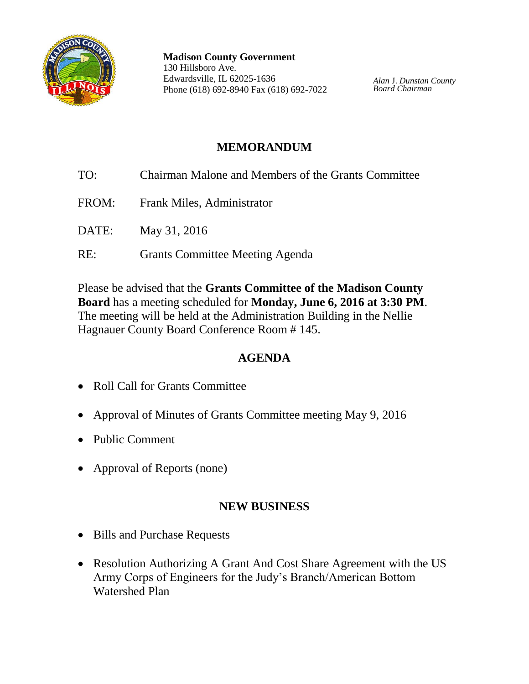

**Madison County Government** 130 Hillsboro Ave. Edwardsville, IL 62025-1636 Phone (618) 692-8940 Fax (618) 692-7022

*Alan* J. *Dunstan County Board Chairman*

# **MEMORANDUM**

- TO: Chairman Malone and Members of the Grants Committee FROM: Frank Miles, Administrator
- DATE: May 31, 2016
- RE: Grants Committee Meeting Agenda

Please be advised that the **Grants Committee of the Madison County Board** has a meeting scheduled for **Monday, June 6, 2016 at 3:30 PM**. The meeting will be held at the Administration Building in the Nellie Hagnauer County Board Conference Room # 145.

## **AGENDA**

- Roll Call for Grants Committee
- Approval of Minutes of Grants Committee meeting May 9, 2016
- Public Comment
- Approval of Reports (none)

## **NEW BUSINESS**

- Bills and Purchase Requests
- Resolution Authorizing A Grant And Cost Share Agreement with the US Army Corps of Engineers for the Judy's Branch/American Bottom Watershed Plan